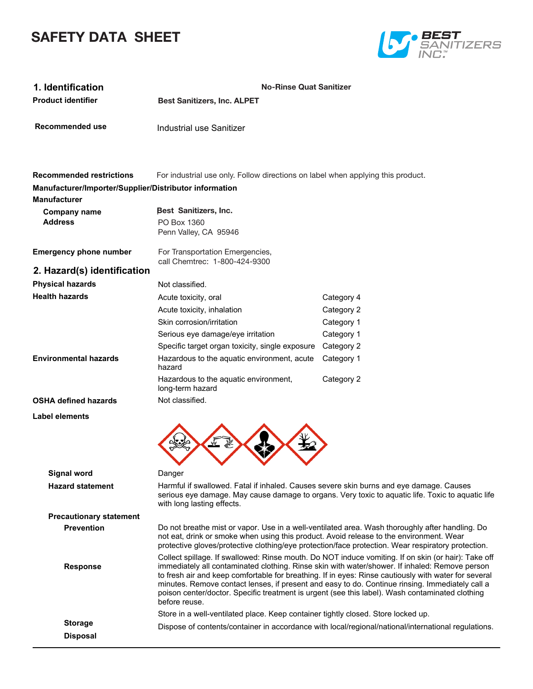# **SAFETY DATA SHEET**



| 1. Identification<br><b>Product identifier</b>                                | <b>No-Rinse Quat Sanitizer</b><br><b>Best Sanitizers, Inc. ALPET</b>                                                  |                                                                                                                                                                                                                                                                                                                                                                                                                                                                                                                     |
|-------------------------------------------------------------------------------|-----------------------------------------------------------------------------------------------------------------------|---------------------------------------------------------------------------------------------------------------------------------------------------------------------------------------------------------------------------------------------------------------------------------------------------------------------------------------------------------------------------------------------------------------------------------------------------------------------------------------------------------------------|
| Recommended use                                                               | Industrial use Sanitizer                                                                                              |                                                                                                                                                                                                                                                                                                                                                                                                                                                                                                                     |
|                                                                               |                                                                                                                       |                                                                                                                                                                                                                                                                                                                                                                                                                                                                                                                     |
| <b>Recommended restrictions</b>                                               | For industrial use only. Follow directions on label when applying this product.                                       |                                                                                                                                                                                                                                                                                                                                                                                                                                                                                                                     |
| Manufacturer/Importer/Supplier/Distributor information<br><b>Manufacturer</b> |                                                                                                                       |                                                                                                                                                                                                                                                                                                                                                                                                                                                                                                                     |
| <b>Company name</b>                                                           | Best Sanitizers, Inc.                                                                                                 |                                                                                                                                                                                                                                                                                                                                                                                                                                                                                                                     |
| <b>Address</b>                                                                | PO Box 1360<br>Penn Valley, CA 95946                                                                                  |                                                                                                                                                                                                                                                                                                                                                                                                                                                                                                                     |
| <b>Emergency phone number</b>                                                 | For Transportation Emergencies,<br>call Chemtrec: 1-800-424-9300                                                      |                                                                                                                                                                                                                                                                                                                                                                                                                                                                                                                     |
| 2. Hazard(s) identification                                                   |                                                                                                                       |                                                                                                                                                                                                                                                                                                                                                                                                                                                                                                                     |
| <b>Physical hazards</b>                                                       | Not classified.                                                                                                       |                                                                                                                                                                                                                                                                                                                                                                                                                                                                                                                     |
| <b>Health hazards</b>                                                         | Acute toxicity, oral                                                                                                  | Category 4                                                                                                                                                                                                                                                                                                                                                                                                                                                                                                          |
|                                                                               | Acute toxicity, inhalation                                                                                            | Category 2                                                                                                                                                                                                                                                                                                                                                                                                                                                                                                          |
|                                                                               | Skin corrosion/irritation                                                                                             | Category 1                                                                                                                                                                                                                                                                                                                                                                                                                                                                                                          |
|                                                                               | Serious eye damage/eye irritation                                                                                     | Category 1                                                                                                                                                                                                                                                                                                                                                                                                                                                                                                          |
| <b>Environmental hazards</b>                                                  | Specific target organ toxicity, single exposure                                                                       | Category 2                                                                                                                                                                                                                                                                                                                                                                                                                                                                                                          |
|                                                                               | Hazardous to the aquatic environment, acute<br>hazard                                                                 | Category 1                                                                                                                                                                                                                                                                                                                                                                                                                                                                                                          |
|                                                                               | Hazardous to the aquatic environment,<br>long-term hazard                                                             | Category 2                                                                                                                                                                                                                                                                                                                                                                                                                                                                                                          |
| <b>OSHA defined hazards</b>                                                   | Not classified.                                                                                                       |                                                                                                                                                                                                                                                                                                                                                                                                                                                                                                                     |
| Label elements                                                                |                                                                                                                       |                                                                                                                                                                                                                                                                                                                                                                                                                                                                                                                     |
|                                                                               |                                                                                                                       |                                                                                                                                                                                                                                                                                                                                                                                                                                                                                                                     |
| Signal word                                                                   | Danger                                                                                                                |                                                                                                                                                                                                                                                                                                                                                                                                                                                                                                                     |
| <b>Hazard statement</b>                                                       | Harmful if swallowed. Fatal if inhaled. Causes severe skin burns and eye damage. Causes<br>with long lasting effects. | serious eye damage. May cause damage to organs. Very toxic to aquatic life. Toxic to aquatic life                                                                                                                                                                                                                                                                                                                                                                                                                   |
| <b>Precautionary statement</b>                                                |                                                                                                                       |                                                                                                                                                                                                                                                                                                                                                                                                                                                                                                                     |
| <b>Prevention</b>                                                             | not eat, drink or smoke when using this product. Avoid release to the environment. Wear                               | Do not breathe mist or vapor. Use in a well-ventilated area. Wash thoroughly after handling. Do<br>protective gloves/protective clothing/eye protection/face protection. Wear respiratory protection.                                                                                                                                                                                                                                                                                                               |
| <b>Response</b>                                                               | before reuse.                                                                                                         | Collect spillage. If swallowed: Rinse mouth. Do NOT induce vomiting. If on skin (or hair): Take off<br>immediately all contaminated clothing. Rinse skin with water/shower. If inhaled: Remove person<br>to fresh air and keep comfortable for breathing. If in eyes: Rinse cautiously with water for several<br>minutes. Remove contact lenses, if present and easy to do. Continue rinsing. Immediately call a<br>poison center/doctor. Specific treatment is urgent (see this label). Wash contaminated clothing |
|                                                                               | Store in a well-ventilated place. Keep container tightly closed. Store locked up.                                     |                                                                                                                                                                                                                                                                                                                                                                                                                                                                                                                     |
| <b>Storage</b>                                                                |                                                                                                                       | Dispose of contents/container in accordance with local/regional/national/international regulations.                                                                                                                                                                                                                                                                                                                                                                                                                 |
| <b>Disposal</b>                                                               |                                                                                                                       |                                                                                                                                                                                                                                                                                                                                                                                                                                                                                                                     |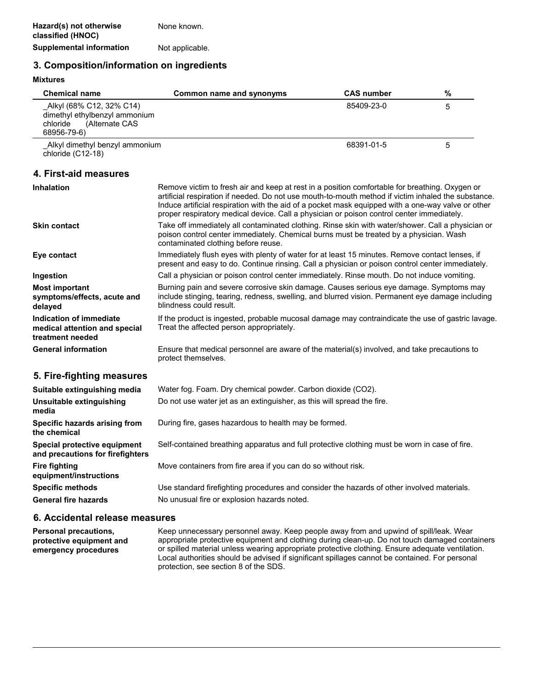## **3. Composition/information on ingredients**

| <b>Mixtures</b>                                                                                        |                                                                                                                                                                                                                                                                                                                                                                                                          |                   |   |
|--------------------------------------------------------------------------------------------------------|----------------------------------------------------------------------------------------------------------------------------------------------------------------------------------------------------------------------------------------------------------------------------------------------------------------------------------------------------------------------------------------------------------|-------------------|---|
| <b>Chemical name</b>                                                                                   | Common name and synonyms                                                                                                                                                                                                                                                                                                                                                                                 | <b>CAS number</b> | % |
| Alkyl (68% C12, 32% C14)<br>dimethyl ethylbenzyl ammonium<br>chloride<br>(Alternate CAS<br>68956-79-6) |                                                                                                                                                                                                                                                                                                                                                                                                          | 85409-23-0        | 5 |
| Alkyl dimethyl benzyl ammonium<br>chloride (C12-18)                                                    |                                                                                                                                                                                                                                                                                                                                                                                                          | 68391-01-5        | 5 |
| 4. First-aid measures                                                                                  |                                                                                                                                                                                                                                                                                                                                                                                                          |                   |   |
| <b>Inhalation</b>                                                                                      | Remove victim to fresh air and keep at rest in a position comfortable for breathing. Oxygen or<br>artificial respiration if needed. Do not use mouth-to-mouth method if victim inhaled the substance.<br>Induce artificial respiration with the aid of a pocket mask equipped with a one-way valve or other<br>proper respiratory medical device. Call a physician or poison control center immediately. |                   |   |
| <b>Skin contact</b>                                                                                    | Take off immediately all contaminated clothing. Rinse skin with water/shower. Call a physician or<br>poison control center immediately. Chemical burns must be treated by a physician. Wash<br>contaminated clothing before reuse.                                                                                                                                                                       |                   |   |
| Eye contact                                                                                            | Immediately flush eyes with plenty of water for at least 15 minutes. Remove contact lenses, if<br>present and easy to do. Continue rinsing. Call a physician or poison control center immediately.                                                                                                                                                                                                       |                   |   |
| Ingestion                                                                                              | Call a physician or poison control center immediately. Rinse mouth. Do not induce vomiting.                                                                                                                                                                                                                                                                                                              |                   |   |
| <b>Most important</b><br>symptoms/effects, acute and<br>delayed                                        | Burning pain and severe corrosive skin damage. Causes serious eye damage. Symptoms may<br>include stinging, tearing, redness, swelling, and blurred vision. Permanent eye damage including<br>blindness could result.                                                                                                                                                                                    |                   |   |
| Indication of immediate<br>medical attention and special<br>treatment needed                           | If the product is ingested, probable mucosal damage may contraindicate the use of gastric lavage.<br>Treat the affected person appropriately.                                                                                                                                                                                                                                                            |                   |   |
| <b>General information</b>                                                                             | Ensure that medical personnel are aware of the material(s) involved, and take precautions to<br>protect themselves.                                                                                                                                                                                                                                                                                      |                   |   |
| 5. Fire-fighting measures                                                                              |                                                                                                                                                                                                                                                                                                                                                                                                          |                   |   |
| Suitable extinguishing media                                                                           | Water fog. Foam. Dry chemical powder. Carbon dioxide (CO2).                                                                                                                                                                                                                                                                                                                                              |                   |   |
| Unsuitable extinguishing<br>media                                                                      | Do not use water jet as an extinguisher, as this will spread the fire.                                                                                                                                                                                                                                                                                                                                   |                   |   |
| Specific hazards arising from<br>the chemical                                                          | During fire, gases hazardous to health may be formed.                                                                                                                                                                                                                                                                                                                                                    |                   |   |
| Special protective equipment<br>and precautions for firefighters                                       | Self-contained breathing apparatus and full protective clothing must be worn in case of fire.                                                                                                                                                                                                                                                                                                            |                   |   |
| Fire fighting<br>equipment/instructions                                                                | Move containers from fire area if you can do so without risk.                                                                                                                                                                                                                                                                                                                                            |                   |   |
| <b>Specific methods</b>                                                                                | Use standard firefighting procedures and consider the hazards of other involved materials.                                                                                                                                                                                                                                                                                                               |                   |   |
| <b>General fire hazards</b>                                                                            | No unusual fire or explosion hazards noted.                                                                                                                                                                                                                                                                                                                                                              |                   |   |
| 6. Accidental release measures                                                                         |                                                                                                                                                                                                                                                                                                                                                                                                          |                   |   |

Keep unnecessary personnel away. Keep people away from and upwind of spill/leak. Wear appropriate protective equipment and clothing during clean-up. Do not touch damaged containers or spilled material unless wearing appropriate protective clothing. Ensure adequate ventilation. Local authorities should be advised if significant spillages cannot be contained. For personal protection, see section 8 of the SDS. **Personal precautions, protective equipment and emergency procedures**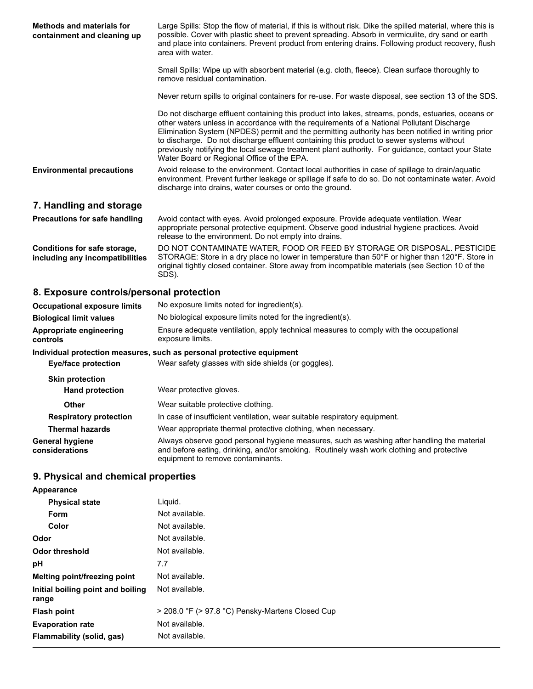| <b>Methods and materials for</b><br>containment and cleaning up | Large Spills: Stop the flow of material, if this is without risk. Dike the spilled material, where this is<br>possible. Cover with plastic sheet to prevent spreading. Absorb in vermiculite, dry sand or earth<br>and place into containers. Prevent product from entering drains. Following product recovery, flush<br>area with water.                                                                                                                                                                                                           |  |
|-----------------------------------------------------------------|-----------------------------------------------------------------------------------------------------------------------------------------------------------------------------------------------------------------------------------------------------------------------------------------------------------------------------------------------------------------------------------------------------------------------------------------------------------------------------------------------------------------------------------------------------|--|
|                                                                 | Small Spills: Wipe up with absorbent material (e.g. cloth, fleece). Clean surface thoroughly to<br>remove residual contamination.                                                                                                                                                                                                                                                                                                                                                                                                                   |  |
|                                                                 | Never return spills to original containers for re-use. For waste disposal, see section 13 of the SDS.                                                                                                                                                                                                                                                                                                                                                                                                                                               |  |
|                                                                 | Do not discharge effluent containing this product into lakes, streams, ponds, estuaries, oceans or<br>other waters unless in accordance with the requirements of a National Pollutant Discharge<br>Elimination System (NPDES) permit and the permitting authority has been notified in writing prior<br>to discharge. Do not discharge effluent containing this product to sewer systems without<br>previously notifying the local sewage treatment plant authority. For guidance, contact your State<br>Water Board or Regional Office of the EPA. |  |
| <b>Environmental precautions</b>                                | Avoid release to the environment. Contact local authorities in case of spillage to drain/aquatic<br>environment. Prevent further leakage or spillage if safe to do so. Do not contaminate water. Avoid<br>discharge into drains, water courses or onto the ground.                                                                                                                                                                                                                                                                                  |  |
| 7. Handling and storage                                         |                                                                                                                                                                                                                                                                                                                                                                                                                                                                                                                                                     |  |
| Precautions for safe handling                                   | Avoid contact with eyes. Avoid prolonged exposure. Provide adequate ventilation. Wear<br>appropriate personal protective equipment. Observe good industrial hygiene practices. Avoid<br>release to the environment. Do not empty into drains.                                                                                                                                                                                                                                                                                                       |  |
| Conditions for safe storage,<br>including any incompatibilities | DO NOT CONTAMINATE WATER, FOOD OR FEED BY STORAGE OR DISPOSAL. PESTICIDE<br>STORAGE: Store in a dry place no lower in temperature than 50°F or higher than 120°F. Store in<br>original tightly closed container. Store away from incompatible materials (see Section 10 of the<br>SDS).                                                                                                                                                                                                                                                             |  |

# **8. Exposure controls/personal protection**

| <b>Occupational exposure limits</b>      | No exposure limits noted for ingredient(s).                                                                                                                                                                                 |
|------------------------------------------|-----------------------------------------------------------------------------------------------------------------------------------------------------------------------------------------------------------------------------|
| <b>Biological limit values</b>           | No biological exposure limits noted for the ingredient(s).                                                                                                                                                                  |
| Appropriate engineering<br>controls      | Ensure adequate ventilation, apply technical measures to comply with the occupational<br>exposure limits.                                                                                                                   |
|                                          | Individual protection measures, such as personal protective equipment                                                                                                                                                       |
| Eye/face protection                      | Wear safety glasses with side shields (or goggles).                                                                                                                                                                         |
| <b>Skin protection</b>                   |                                                                                                                                                                                                                             |
| <b>Hand protection</b>                   | Wear protective gloves.                                                                                                                                                                                                     |
| <b>Other</b>                             | Wear suitable protective clothing.                                                                                                                                                                                          |
| <b>Respiratory protection</b>            | In case of insufficient ventilation, wear suitable respiratory equipment.                                                                                                                                                   |
| <b>Thermal hazards</b>                   | Wear appropriate thermal protective clothing, when necessary.                                                                                                                                                               |
| <b>General hygiene</b><br>considerations | Always observe good personal hygiene measures, such as washing after handling the material<br>and before eating, drinking, and/or smoking. Routinely wash work clothing and protective<br>equipment to remove contaminants. |

# **9. Physical and chemical properties**

| Appearance                                 |                                                  |
|--------------------------------------------|--------------------------------------------------|
| <b>Physical state</b>                      | Liquid.                                          |
| Form                                       | Not available.                                   |
| Color                                      | Not available.                                   |
| Odor                                       | Not available.                                   |
| <b>Odor threshold</b>                      | Not available.                                   |
| рH                                         | 7.7                                              |
| Melting point/freezing point               | Not available.                                   |
| Initial boiling point and boiling<br>range | Not available.                                   |
| <b>Flash point</b>                         | > 208.0 °F (> 97.8 °C) Pensky-Martens Closed Cup |
| <b>Evaporation rate</b>                    | Not available.                                   |
| Flammability (solid, gas)                  | Not available.                                   |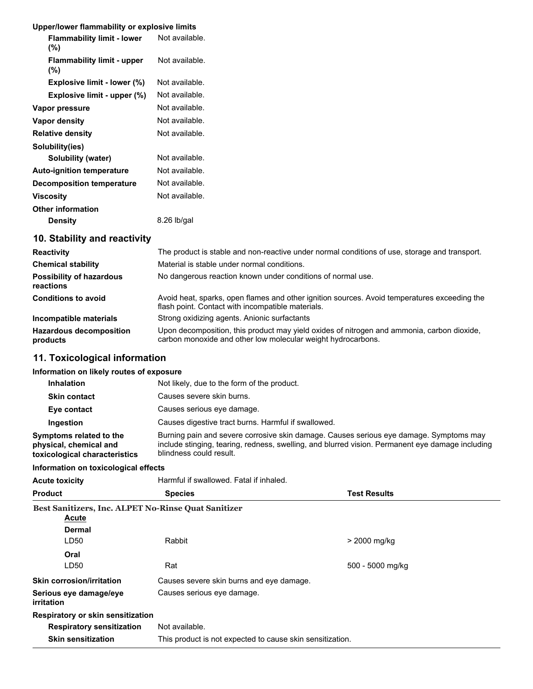## **Upper/lower flammability or explosive limits**

|                  | <b>Flammability limit - lower</b><br>$(\%)$ | Not available. |
|------------------|---------------------------------------------|----------------|
|                  | <b>Flammability limit - upper</b><br>$(\%)$ | Not available. |
|                  | Explosive limit - lower (%)                 | Not available. |
|                  | Explosive limit - upper (%)                 | Not available. |
|                  | Vapor pressure                              | Not available. |
|                  | Vapor density                               | Not available. |
|                  | <b>Relative density</b>                     | Not available. |
|                  | Solubility(ies)                             |                |
|                  | Solubility (water)                          | Not available. |
|                  | <b>Auto-ignition temperature</b>            | Not available. |
|                  | <b>Decomposition temperature</b>            | Not available. |
| <b>Viscosity</b> |                                             | Not available. |
|                  | <b>Other information</b>                    |                |
|                  | <b>Density</b>                              | $8.26$ lb/gal  |
|                  | 10. Stability and reactivity                |                |

| <b>Reactivity</b>                            | The product is stable and non-reactive under normal conditions of use, storage and transport.                                                              |
|----------------------------------------------|------------------------------------------------------------------------------------------------------------------------------------------------------------|
| <b>Chemical stability</b>                    | Material is stable under normal conditions.                                                                                                                |
| <b>Possibility of hazardous</b><br>reactions | No dangerous reaction known under conditions of normal use.                                                                                                |
| <b>Conditions to avoid</b>                   | Avoid heat, sparks, open flames and other ignition sources. Avoid temperatures exceeding the<br>flash point. Contact with incompatible materials.          |
| Incompatible materials                       | Strong oxidizing agents. Anionic surfactants                                                                                                               |
| <b>Hazardous decomposition</b><br>products   | Upon decomposition, this product may yield oxides of nitrogen and ammonia, carbon dioxide,<br>carbon monoxide and other low molecular weight hydrocarbons. |

# **11. Toxicological information**

## **Information on likely routes of exposure**

| <b>Inhalation</b>                                                                  | Not likely, due to the form of the product.                                                                                                                                                                           |
|------------------------------------------------------------------------------------|-----------------------------------------------------------------------------------------------------------------------------------------------------------------------------------------------------------------------|
| <b>Skin contact</b>                                                                | Causes severe skin burns.                                                                                                                                                                                             |
| Eye contact                                                                        | Causes serious eye damage.                                                                                                                                                                                            |
| Ingestion                                                                          | Causes digestive tract burns. Harmful if swallowed.                                                                                                                                                                   |
| Symptoms related to the<br>physical, chemical and<br>toxicological characteristics | Burning pain and severe corrosive skin damage. Causes serious eye damage. Symptoms may<br>include stinging, tearing, redness, swelling, and blurred vision. Permanent eye damage including<br>blindness could result. |

## **Information on toxicological effects**

| <b>Acute toxicity</b>                                      | Harmful if swallowed. Fatal if inhaled.                   |                     |
|------------------------------------------------------------|-----------------------------------------------------------|---------------------|
| <b>Product</b>                                             | <b>Species</b>                                            | <b>Test Results</b> |
| <b>Best Sanitizers, Inc. ALPET No-Rinse Quat Sanitizer</b> |                                                           |                     |
| Acute                                                      |                                                           |                     |
| Dermal                                                     |                                                           |                     |
| LD50                                                       | Rabbit                                                    | > 2000 mg/kg        |
| Oral                                                       |                                                           |                     |
| LD50                                                       | Rat                                                       | 500 - 5000 mg/kg    |
| <b>Skin corrosion/irritation</b>                           | Causes severe skin burns and eye damage.                  |                     |
| Serious eye damage/eye<br>irritation                       | Causes serious eye damage.                                |                     |
| Respiratory or skin sensitization                          |                                                           |                     |
| <b>Respiratory sensitization</b>                           | Not available.                                            |                     |
| <b>Skin sensitization</b>                                  | This product is not expected to cause skin sensitization. |                     |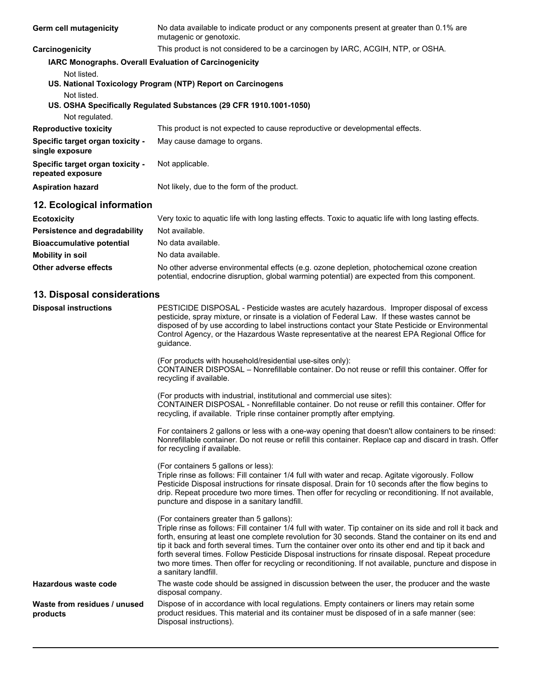| Germ cell mutagenicity                                                                  | No data available to indicate product or any components present at greater than 0.1% are<br>mutagenic or genotoxic.                            |
|-----------------------------------------------------------------------------------------|------------------------------------------------------------------------------------------------------------------------------------------------|
| Carcinogenicity                                                                         | This product is not considered to be a carcinogen by IARC, ACGIH, NTP, or OSHA.                                                                |
| <b>IARC Monographs. Overall Evaluation of Carcinogenicity</b><br>Not listed.            |                                                                                                                                                |
|                                                                                         | US. National Toxicology Program (NTP) Report on Carcinogens                                                                                    |
| Not listed.<br>Not regulated.                                                           | US. OSHA Specifically Regulated Substances (29 CFR 1910.1001-1050)                                                                             |
| <b>Reproductive toxicity</b>                                                            | This product is not expected to cause reproductive or developmental effects.                                                                   |
| Specific target organ toxicity -<br>single exposure                                     | May cause damage to organs.                                                                                                                    |
| Specific target organ toxicity -<br>repeated exposure                                   | Not applicable.                                                                                                                                |
| <b>Aspiration hazard</b>                                                                | Not likely, due to the form of the product.                                                                                                    |
| 12. Ecological information                                                              |                                                                                                                                                |
| <b>Ecotoxicity</b><br>Persistence and degradability<br><b>Bioaccumulative potential</b> | Very toxic to aquatic life with long lasting effects. Toxic to aquatic life with long lasting effects.<br>Not available.<br>No data available. |

**Mobility in soil** No data available. **Other adverse effects** No other adverse environmental effects (e.g. ozone depletion, photochemical ozone creation potential, endocrine disruption, global warming potential) are expected from this component.

## **13. Disposal considerations**

| <b>Disposal instructions</b>             | PESTICIDE DISPOSAL - Pesticide wastes are acutely hazardous. Improper disposal of excess<br>pesticide, spray mixture, or rinsate is a violation of Federal Law. If these wastes cannot be<br>disposed of by use according to label instructions contact your State Pesticide or Environmental<br>Control Agency, or the Hazardous Waste representative at the nearest EPA Regional Office for<br>guidance.<br>(For products with household/residential use-sites only):<br>CONTAINER DISPOSAL - Nonrefillable container. Do not reuse or refill this container. Offer for                                    |
|------------------------------------------|--------------------------------------------------------------------------------------------------------------------------------------------------------------------------------------------------------------------------------------------------------------------------------------------------------------------------------------------------------------------------------------------------------------------------------------------------------------------------------------------------------------------------------------------------------------------------------------------------------------|
|                                          | recycling if available.<br>(For products with industrial, institutional and commercial use sites):<br>CONTAINER DISPOSAL - Nonrefillable container. Do not reuse or refill this container. Offer for<br>recycling, if available. Triple rinse container promptly after emptying.                                                                                                                                                                                                                                                                                                                             |
|                                          | For containers 2 gallons or less with a one-way opening that doesn't allow containers to be rinsed:<br>Nonrefillable container. Do not reuse or refill this container. Replace cap and discard in trash. Offer<br>for recycling if available.                                                                                                                                                                                                                                                                                                                                                                |
|                                          | (For containers 5 gallons or less):<br>Triple rinse as follows: Fill container 1/4 full with water and recap. Agitate vigorously. Follow<br>Pesticide Disposal instructions for rinsate disposal. Drain for 10 seconds after the flow begins to<br>drip. Repeat procedure two more times. Then offer for recycling or reconditioning. If not available,<br>puncture and dispose in a sanitary landfill.                                                                                                                                                                                                      |
|                                          | (For containers greater than 5 gallons):<br>Triple rinse as follows: Fill container 1/4 full with water. Tip container on its side and roll it back and<br>forth, ensuring at least one complete revolution for 30 seconds. Stand the container on its end and<br>tip it back and forth several times. Turn the container over onto its other end and tip it back and<br>forth several times. Follow Pesticide Disposal instructions for rinsate disposal. Repeat procedure<br>two more times. Then offer for recycling or reconditioning. If not available, puncture and dispose in<br>a sanitary landfill. |
| Hazardous waste code                     | The waste code should be assigned in discussion between the user, the producer and the waste<br>disposal company.                                                                                                                                                                                                                                                                                                                                                                                                                                                                                            |
| Waste from residues / unused<br>products | Dispose of in accordance with local regulations. Empty containers or liners may retain some<br>product residues. This material and its container must be disposed of in a safe manner (see:<br>Disposal instructions).                                                                                                                                                                                                                                                                                                                                                                                       |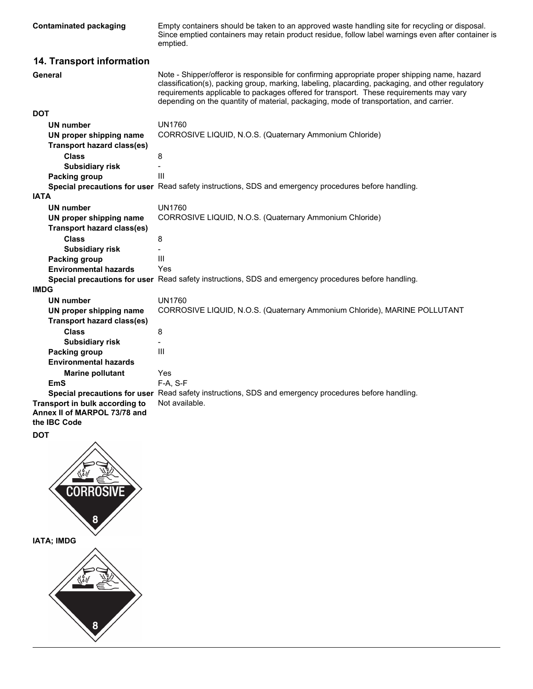| <b>Contaminated packaging</b>                                                  | Empty containers should be taken to an approved waste handling site for recycling or disposal.<br>Since emptied containers may retain product residue, follow label warnings even after container is<br>emptied.                                                                                                                                                                      |
|--------------------------------------------------------------------------------|---------------------------------------------------------------------------------------------------------------------------------------------------------------------------------------------------------------------------------------------------------------------------------------------------------------------------------------------------------------------------------------|
| 14. Transport information                                                      |                                                                                                                                                                                                                                                                                                                                                                                       |
| General                                                                        | Note - Shipper/offeror is responsible for confirming appropriate proper shipping name, hazard<br>classification(s), packing group, marking, labeling, placarding, packaging, and other regulatory<br>requirements applicable to packages offered for transport. These requirements may vary<br>depending on the quantity of material, packaging, mode of transportation, and carrier. |
| <b>DOT</b>                                                                     |                                                                                                                                                                                                                                                                                                                                                                                       |
| <b>UN number</b>                                                               | <b>UN1760</b>                                                                                                                                                                                                                                                                                                                                                                         |
| UN proper shipping name<br><b>Transport hazard class(es)</b>                   | CORROSIVE LIQUID, N.O.S. (Quaternary Ammonium Chloride)                                                                                                                                                                                                                                                                                                                               |
| <b>Class</b>                                                                   | 8                                                                                                                                                                                                                                                                                                                                                                                     |
| <b>Subsidiary risk</b>                                                         |                                                                                                                                                                                                                                                                                                                                                                                       |
| <b>Packing group</b>                                                           | Ш                                                                                                                                                                                                                                                                                                                                                                                     |
|                                                                                | Special precautions for user Read safety instructions, SDS and emergency procedures before handling.                                                                                                                                                                                                                                                                                  |
| <b>IATA</b>                                                                    |                                                                                                                                                                                                                                                                                                                                                                                       |
| <b>UN number</b>                                                               | <b>UN1760</b>                                                                                                                                                                                                                                                                                                                                                                         |
| UN proper shipping name<br><b>Transport hazard class(es)</b>                   | CORROSIVE LIQUID, N.O.S. (Quaternary Ammonium Chloride)                                                                                                                                                                                                                                                                                                                               |
| Class                                                                          | 8                                                                                                                                                                                                                                                                                                                                                                                     |
| <b>Subsidiary risk</b>                                                         |                                                                                                                                                                                                                                                                                                                                                                                       |
| Packing group                                                                  | Ш                                                                                                                                                                                                                                                                                                                                                                                     |
| <b>Environmental hazards</b>                                                   | Yes                                                                                                                                                                                                                                                                                                                                                                                   |
|                                                                                | Special precautions for user Read safety instructions, SDS and emergency procedures before handling.                                                                                                                                                                                                                                                                                  |
| <b>IMDG</b>                                                                    |                                                                                                                                                                                                                                                                                                                                                                                       |
| <b>UN number</b>                                                               | <b>UN1760</b>                                                                                                                                                                                                                                                                                                                                                                         |
| UN proper shipping name                                                        | CORROSIVE LIQUID, N.O.S. (Quaternary Ammonium Chloride), MARINE POLLUTANT                                                                                                                                                                                                                                                                                                             |
| <b>Transport hazard class(es)</b>                                              |                                                                                                                                                                                                                                                                                                                                                                                       |
| <b>Class</b>                                                                   | 8                                                                                                                                                                                                                                                                                                                                                                                     |
| <b>Subsidiary risk</b>                                                         |                                                                                                                                                                                                                                                                                                                                                                                       |
| <b>Packing group</b>                                                           | Ш                                                                                                                                                                                                                                                                                                                                                                                     |
| <b>Environmental hazards</b>                                                   |                                                                                                                                                                                                                                                                                                                                                                                       |
| <b>Marine pollutant</b>                                                        | Yes                                                                                                                                                                                                                                                                                                                                                                                   |
| <b>EmS</b>                                                                     | F-A, S-F                                                                                                                                                                                                                                                                                                                                                                              |
|                                                                                | Special precautions for user Read safety instructions, SDS and emergency procedures before handling.                                                                                                                                                                                                                                                                                  |
| Transport in bulk according to<br>Annex II of MARPOL 73/78 and<br>the IBC Code | Not available.                                                                                                                                                                                                                                                                                                                                                                        |
| <b>DOT</b>                                                                     |                                                                                                                                                                                                                                                                                                                                                                                       |

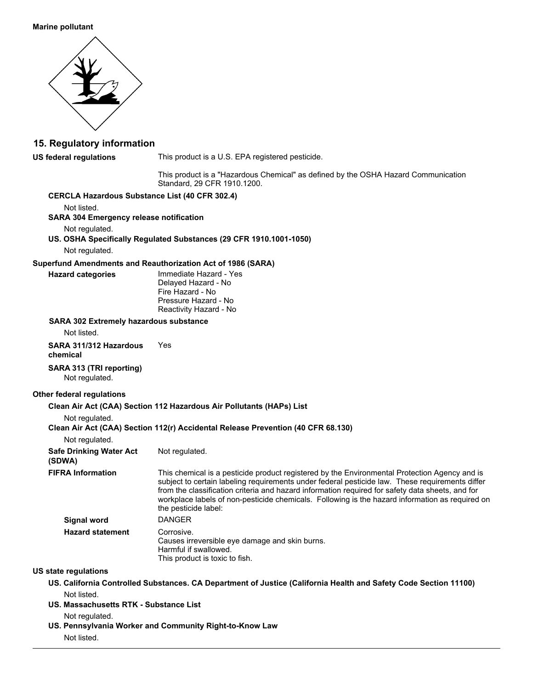#### **Marine pollutant**



## **15. Regulatory information**

**US federal regulations**

This product is a U.S. EPA registered pesticide.

This product is a "Hazardous Chemical" as defined by the OSHA Hazard Communication Standard, 29 CFR 1910.1200.

#### **CERCLA Hazardous Substance List (40 CFR 302.4)**

Not listed.

#### **SARA 304 Emergency release notification**

Not regulated.

**US. OSHA Specifically Regulated Substances (29 CFR 1910.1001-1050)**

Not regulated.

#### **Superfund Amendments and Reauthorization Act of 1986 (SARA)**

**Hazard categories**

Immediate Hazard - Yes Delayed Hazard - No Fire Hazard - No Pressure Hazard - No Reactivity Hazard - No

#### **SARA 302 Extremely hazardous substance**

Not listed.

**SARA 311/312 Hazardous** Yes

**chemical**

### **SARA 313 (TRI reporting)**

Not regulated.

#### **Other federal regulations**

### **Clean Air Act (CAA) Section 112 Hazardous Air Pollutants (HAPs) List**

Not regulated.

#### **Clean Air Act (CAA) Section 112(r) Accidental Release Prevention (40 CFR 68.130)**

Not regulated.

### **Safe Drinking Water Act** Not regulated.

**(SDWA)**

This chemical is a pesticide product registered by the Environmental Protection Agency and is subject to certain labeling requirements under federal pesticide law. These requirements differ from the classification criteria and hazard information required for safety data sheets, and for workplace labels of non-pesticide chemicals. Following is the hazard information as required on the pesticide label: **FIFRA Information Signal word** DANGER

Corrosive. Causes irreversible eye damage and skin burns. Harmful if swallowed. This product is toxic to fish. **Hazard statement**

#### **US state regulations**

**US. California Controlled Substances. CA Department of Justice (California Health and Safety Code Section 11100)** Not listed.

**US. Massachusetts RTK - Substance List**

Not regulated.

**US. Pennsylvania Worker and Community Right-to-Know Law** Not listed.